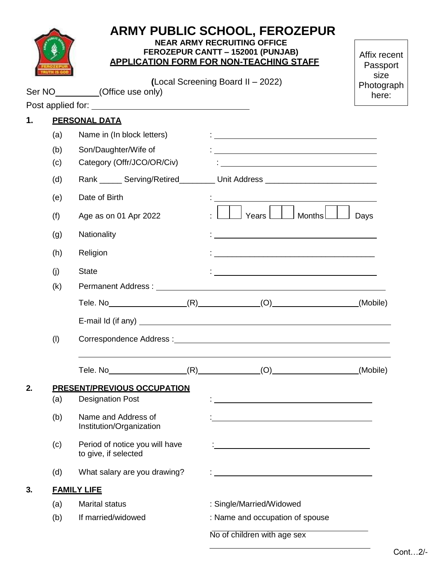|    |                      |                                                               | <b>ARMY PUBLIC SCHOOL, FEROZEPUR</b><br><b>NEAR ARMY RECRUITING OFFICE</b><br>FEROZEPUR CANTT - 152001 (PUNJAB)<br><b>APPLICATION FORM FOR NON-TEACHING STAFF</b>                                                                 | Affix recent<br>Passport    |  |  |  |  |
|----|----------------------|---------------------------------------------------------------|-----------------------------------------------------------------------------------------------------------------------------------------------------------------------------------------------------------------------------------|-----------------------------|--|--|--|--|
|    |                      | Ser NO__________(Office use only)                             | (Local Screening Board II - 2022)                                                                                                                                                                                                 | size<br>Photograph<br>here: |  |  |  |  |
|    |                      |                                                               |                                                                                                                                                                                                                                   |                             |  |  |  |  |
| 1. | <b>PERSONAL DATA</b> |                                                               |                                                                                                                                                                                                                                   |                             |  |  |  |  |
|    | (a)                  | Name in (In block letters)                                    | <u> 1989 - John Stein, mars and de Britannich (b. 1989)</u>                                                                                                                                                                       |                             |  |  |  |  |
|    | (b)                  | Son/Daughter/Wife of                                          | <u> 1980 - Andrea Andrew Maria (h. 1980).</u>                                                                                                                                                                                     |                             |  |  |  |  |
|    | (c)                  | Category (Offr/JCO/OR/Civ)                                    | <u> 1989 - Johann Stein, mars an de Brazilia (b. 1989)</u>                                                                                                                                                                        |                             |  |  |  |  |
|    | (d)                  |                                                               | Rank _______ Serving/Retired___________ Unit Address ___________________________                                                                                                                                                  |                             |  |  |  |  |
|    | (e)                  | Date of Birth                                                 |                                                                                                                                                                                                                                   |                             |  |  |  |  |
|    | (f)                  | Age as on 01 Apr 2022                                         | Years $\lfloor$ $\rfloor$<br>Months $\boxed{\underline{\qquad}}$                                                                                                                                                                  | Days                        |  |  |  |  |
|    | (g)                  | Nationality                                                   |                                                                                                                                                                                                                                   |                             |  |  |  |  |
|    | (h)                  | Religion                                                      | <u> 1980 - Johann Barn, mars an deus Amerikaansk kommunister (* 1950)</u>                                                                                                                                                         |                             |  |  |  |  |
|    | (i)                  | <b>State</b>                                                  | <u> 1980 - Jan Barbara Barbara, maska bilang pada 1980 - pada 2001. atau pada 2001 - pada 2001 - pada 2001. atau</u>                                                                                                              |                             |  |  |  |  |
|    | (k)                  |                                                               |                                                                                                                                                                                                                                   |                             |  |  |  |  |
|    |                      |                                                               | Tele. No $(R)$ (R) (O)                                                                                                                                                                                                            | (Mobile)                    |  |  |  |  |
|    |                      |                                                               |                                                                                                                                                                                                                                   |                             |  |  |  |  |
|    | (1)                  |                                                               |                                                                                                                                                                                                                                   |                             |  |  |  |  |
|    |                      | Tele. No <sub>__________________________</sub>                | $(R)$ (O) (O)                                                                                                                                                                                                                     | (Mobile)                    |  |  |  |  |
| 2. | (a)                  | <b>PRESENT/PREVIOUS OCCUPATION</b><br><b>Designation Post</b> | $\frac{1}{2}$ . The contract of the contract of the contract of the contract of the contract of the contract of the contract of the contract of the contract of the contract of the contract of the contract of the contract of t |                             |  |  |  |  |
|    | (b)                  | Name and Address of<br>Institution/Organization               |                                                                                                                                                                                                                                   |                             |  |  |  |  |
|    | (c)                  | Period of notice you will have<br>to give, if selected        |                                                                                                                                                                                                                                   |                             |  |  |  |  |
|    | (d)                  | What salary are you drawing?                                  |                                                                                                                                                                                                                                   |                             |  |  |  |  |
| 3. |                      | <b>FAMILY LIFE</b>                                            |                                                                                                                                                                                                                                   |                             |  |  |  |  |
|    | (a)                  | <b>Marital status</b>                                         | : Single/Married/Widowed                                                                                                                                                                                                          |                             |  |  |  |  |
|    | (b)                  | If married/widowed                                            | : Name and occupation of spouse                                                                                                                                                                                                   |                             |  |  |  |  |
|    |                      |                                                               | No of children with age sex                                                                                                                                                                                                       |                             |  |  |  |  |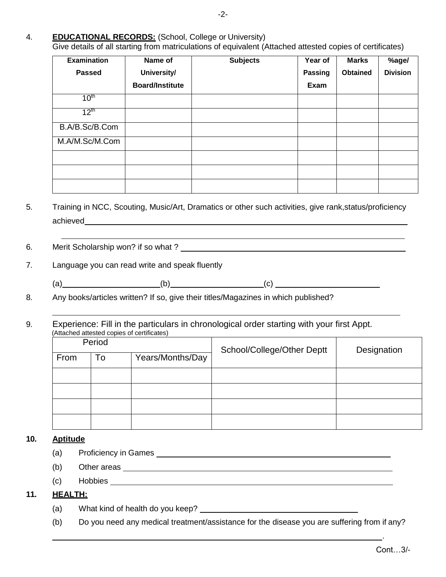Give details of all starting from matriculations of equivalent (Attached attested copies of certificates)

| <b>Examination</b> | Name of                | <b>Subjects</b> | Year of | <b>Marks</b>    | %age/           |
|--------------------|------------------------|-----------------|---------|-----------------|-----------------|
| <b>Passed</b>      | University/            |                 | Passing | <b>Obtained</b> | <b>Division</b> |
|                    | <b>Board/Institute</b> |                 | Exam    |                 |                 |
| 10 <sup>th</sup>   |                        |                 |         |                 |                 |
| 12 <sup>th</sup>   |                        |                 |         |                 |                 |
| B.A/B.Sc/B.Com     |                        |                 |         |                 |                 |
| M.A/M.Sc/M.Com     |                        |                 |         |                 |                 |
|                    |                        |                 |         |                 |                 |
|                    |                        |                 |         |                 |                 |
|                    |                        |                 |         |                 |                 |

5. Training in NCC, Scouting, Music/Art, Dramatics or other such activities, give rank,status/proficiency achieved

6. Merit Scholarship won? if so what ?

7. Language you can read write and speak fluently

(a)  $(b)$  (b)  $(c)$   $-c)$   $-c)$ 

8. Any books/articles written? If so, give their titles/Magazines in which published?

9. Experience: Fill in the particulars in chronological order starting with your first Appt. (Attached attested copies of certificates)

|      | Period |                  | School/College/Other Deptt | Designation |  |
|------|--------|------------------|----------------------------|-------------|--|
| From | To     | Years/Months/Day |                            |             |  |
|      |        |                  |                            |             |  |
|      |        |                  |                            |             |  |
|      |        |                  |                            |             |  |
|      |        |                  |                            |             |  |

#### **10. Aptitude**

- (a) Proficiency in Games
- (b) Other areas
- (c) Hobbies

## **11. HEALTH:**

- (a) What kind of health do you keep?
- (b) Do you need any medical treatment/assistance for the disease you are suffering from if any?

.